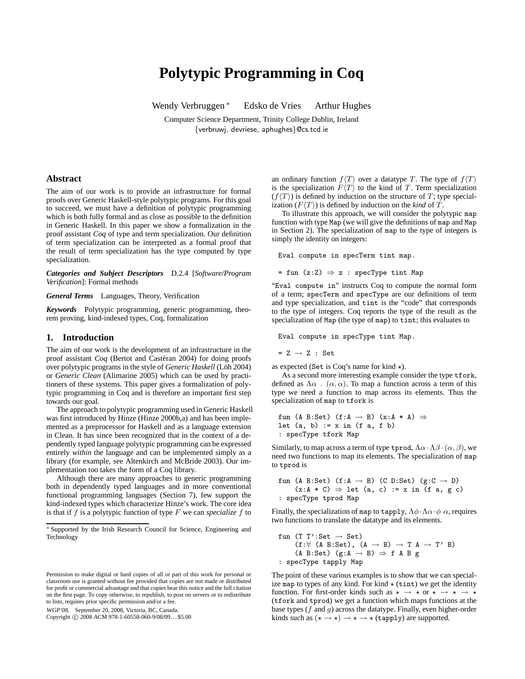# **Polytypic Programming in Coq**

Wendy Verbruggen<sup>∗</sup> Edsko de Vries Arthur Hughes

Computer Science Department, Trinity College Dublin, Ireland {verbruwj, devriese, aphughes}@cs.tcd.ie

## **Abstract**

The aim of our work is to provide an infrastructure for formal proofs over Generic Haskell-style polytypic programs. For this goal to succeed, we must have a definition of polytypic programming which is both fully formal and as close as possible to the definition in Generic Haskell. In this paper we show a formalization in the proof assistant *Coq* of type and term specialization. Our definition of term specialization can be interpreted as a formal proof that the result of term specialization has the type computed by type specialization.

*Categories and Subject Descriptors* D.2.4 [*Software/Program Verification*]: Formal methods

*General Terms* Languages, Theory, Verification

*Keywords* Polytypic programming, generic programming, theorem proving, kind-indexed types, Coq, formalization

## **1. Introduction**

The aim of our work is the development of an infrastructure in the proof assistant *Coq* (Bertot and Castéran 2004) for doing proofs over polytypic programs in the style of *Generic Haskell* (Löh 2004) or *Generic Clean* (Alimarine 2005) which can be used by practitioners of these systems. This paper gives a formalization of polytypic programming in Coq and is therefore an important first step towards our goal.

The approach to polytypic programming used in Generic Haskell was first introduced by Hinze (Hinze 2000b,a) and has been implemented as a preprocessor for Haskell and as a language extension in Clean. It has since been recognized that in the context of a dependently typed language polytypic programming can be expressed entirely *within* the language and can be implemented simply as a library (for example, see Altenkirch and McBride 2003). Our implementation too takes the form of a Coq library.

Although there are many approaches to generic programming both in dependently typed languages and in more conventional functional programming languages (Section 7), few support the kind-indexed types which characterize Hinze's work. The core idea is that if  $f$  is a polytypic function of type  $F$  we can *specialize*  $f$  to

WGP'08, September 20, 2008, Victoria, BC, Canada.

Copyright © 2008 ACM 978-1-60558-060-9/08/09... \$5.00

an ordinary function  $f\langle T\rangle$  over a datatype T. The type of  $f\langle T\rangle$ is the specialization  $F(T)$  to the kind of T. Term specialization  $(f\langle T\rangle)$  is defined by induction on the structure of T; type specialization  $(F\langle T \rangle)$  is defined by induction on the *kind* of T.

To illustrate this approach, we will consider the polytypic map function with type Map (we will give the definitions of map and Map in Section 2). The specialization of map to the type of integers is simply the identity on integers:

Eval compute in specTerm tint map.

= fun  $(z:Z) \Rightarrow z$  : specType tint Map

"Eval compute in" instructs Coq to compute the normal form of a term; specTerm and specType are our definitions of term and type specialization, and tint is the "code" that corresponds to the type of integers. Coq reports the type of the result as the specialization of Map (the type of map) to tint; this evaluates to

Eval compute in specType tint Map.

 $= Z \rightarrow Z : Set$ 

as expected (Set is Coq's name for kind  $\star$ ).

As a second more interesting example consider the type tfork, defined as  $\Lambda \alpha$  .  $(\alpha, \alpha)$ . To map a function across a term of this type we need a function to map across its elements. Thus the specialization of map to tfork is

fun (A B:Set) (f:A  $\rightarrow$  B) (x:A \* A)  $\Rightarrow$ let  $(a, b) := x$  in  $(f a, f b)$ : specType tfork Map

Similarly, to map across a term of type tprod,  $\Lambda \alpha \cdot \Lambda \beta \cdot (\alpha, \beta)$ , we need two functions to map its elements. The specialization of map to tprod is

```
fun (A B:Set) (f:A \rightarrow B) (C D:Set) (g:C \rightarrow D)
     (x:A * C) \Rightarrow let (a, c) := x in (f a, g c): specType tprod Map
```
Finally, the specialization of map to tapply,  $\Lambda \phi \cdot \Lambda \alpha \cdot \phi \alpha$ , requires two functions to translate the datatype and its elements.

```
fun (T T':Set \rightarrow Set)
      (f: \forall (A \ B: Set), (A \rightarrow B) \rightarrow T A \rightarrow T' B)(A B:Set) (g:A \rightarrow B) \Rightarrow f A B g: specType tapply Map
```
The point of these various examples is to show that we can specialize map to types of any kind. For kind  $\star$  (tint) we get the identity function. For first-order kinds such as  $\star \rightarrow \star$  or  $\star \rightarrow \star \rightarrow \star$ (tfork and tprod) we get a function which maps functions at the base types ( $f$  and  $g$ ) across the datatype. Finally, even higher-order kinds such as  $(\star \to \star) \to \star \to \star$  (tapply) are supported.

<sup>∗</sup> Supported by the Irish Research Council for Science, Engineering and Technology

Permission to make digital or hard copies of all or part of this work for personal or classroom use is granted without fee provided that copies are not made or distributed for profit or commercial advantage and that copies bear this notice and the full citation on the first page. To copy otherwise, to republish, to post on servers or to redistribute to lists, requires prior specific permission and/or a fee.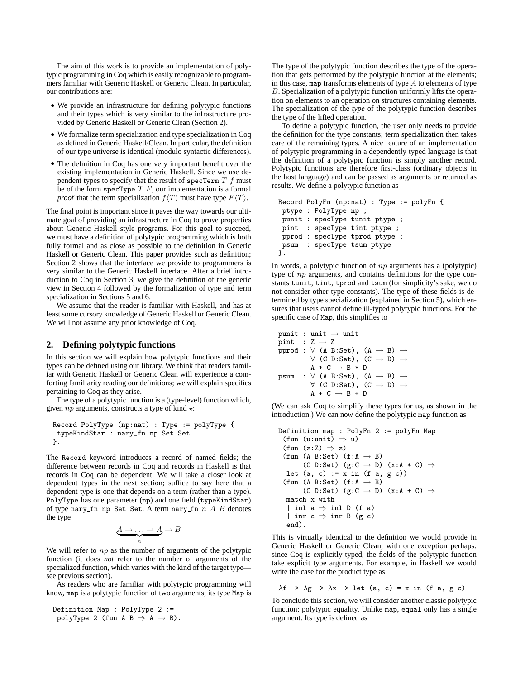The aim of this work is to provide an implementation of polytypic programming in Coq which is easily recognizable to programmers familiar with Generic Haskell or Generic Clean. In particular, our contributions are:

- We provide an infrastructure for defining polytypic functions and their types which is very similar to the infrastructure provided by Generic Haskell or Generic Clean (Section 2).
- We formalize term specialization and type specialization in Coq as defined in Generic Haskell/Clean. In particular, the definition of our type universe is identical (modulo syntactic differences).
- The definition in Coq has one very important benefit over the existing implementation in Generic Haskell. Since we use dependent types to specify that the result of specTerm  $T f$  must be of the form specType  $T \, F$ , our implementation is a formal *proof* that the term specialization  $f\langle T \rangle$  must have type  $F\langle T \rangle$ .

The final point is important since it paves the way towards our ultimate goal of providing an infrastructure in Coq to prove properties about Generic Haskell style programs. For this goal to succeed, we must have a definition of polytypic programming which is both fully formal and as close as possible to the definition in Generic Haskell or Generic Clean. This paper provides such as definition; Section 2 shows that the interface we provide to programmers is very similar to the Generic Haskell interface. After a brief introduction to Coq in Section 3, we give the definition of the generic view in Section 4 followed by the formalization of type and term specialization in Sections 5 and 6.

We assume that the reader is familiar with Haskell, and has at least some cursory knowledge of Generic Haskell or Generic Clean. We will not assume any prior knowledge of Coq.

## **2. Defining polytypic functions**

In this section we will explain how polytypic functions and their types can be defined using our library. We think that readers familiar with Generic Haskell or Generic Clean will experience a comforting familiarity reading our definitions; we will explain specifics pertaining to Coq as they arise.

The type of a polytypic function is a (type-level) function which, given  $np$  arguments, constructs a type of kind  $\star$ :

```
Record PolyType (np:nat) : Type := polyType {
 typeKindStar : nary_fn np Set Set
}.
```
The Record keyword introduces a record of named fields; the difference between records in Coq and records in Haskell is that records in Coq can be dependent. We will take a closer look at dependent types in the next section; suffice to say here that a dependent type is one that depends on a term (rather than a type). PolyType has one parameter (np) and one field (typeKindStar) of type nary fn np Set Set. A term nary fn  $n A B$  denotes the type

$$
\underbrace{A \to \dots \to A}_{n} \to B
$$

We will refer to  $np$  as the number of arguments of the polytypic function (it does *not* refer to the number of arguments of the specialized function, which varies with the kind of the target type see previous section).

As readers who are familiar with polytypic programming will know, map is a polytypic function of two arguments; its type Map is

Definition Map : PolyType 2 := polyType 2 (fun A B  $\Rightarrow$  A  $\rightarrow$  B).

The type of the polytypic function describes the type of the operation that gets performed by the polytypic function at the elements; in this case, map transforms elements of type  $A$  to elements of type B. Specialization of a polytypic function uniformly lifts the operation on elements to an operation on structures containing elements. The specialization of the *type* of the polytypic function describes the type of the lifted operation.

To define a polytypic function, the user only needs to provide the definition for the type constants; term specialization then takes care of the remaining types. A nice feature of an implementation of polytypic programming in a dependently typed language is that the definition of a polytypic function is simply another record. Polytypic functions are therefore first-class (ordinary objects in the host language) and can be passed as arguments or returned as results. We define a polytypic function as

```
Record PolyFn (np:nat) : Type := polyFn {
ptype : PolyType np ;
punit : specType tunit ptype ;
pint : specType tint ptype ;
pprod : specType tprod ptype ;
psum : specType tsum ptype
}.
```
In words, a polytypic function of  $np$  arguments has a (polytypic) type of np arguments, and contains definitions for the type constants tunit, tint, tprod and tsum (for simplicity's sake, we do not consider other type constants). The type of these fields is determined by type specialization (explained in Section 5), which ensures that users cannot define ill-typed polytypic functions. For the specific case of Map, this simplifies to

```
punit : unit \rightarrow unit
pint : Z \rightarrow Zpprod : \forall (A B:Set), (A \rightarrow B) \rightarrow\forall (C D:Set), (C \rightarrow D) \rightarrowA \times C \rightarrow B \times Dpsum : \forall (A B:Set), (A \rightarrow B) \rightarrow\forall (C D:Set), (C \rightarrow D) \rightarrowA + C \rightarrow B + D
```
(We can ask Coq to simplify these types for us, as shown in the introduction.) We can now define the polytypic map function as

```
Definition map : PolyFn 2 := polyFn Map
 (fun (u:unit) \Rightarrow u)
 (fun (z:Z) \Rightarrow z)(fun (A B:Set) (f:A \rightarrow B)(C D:Set) (g:C \rightarrow D) (x:A * C) \Rightarrowlet (a, c) := x in (f a, g c)(fun (A B:Set) (f:A \rightarrow B))
        (C D:Set) (g:C \rightarrow D) (x:A + C) \Rightarrowmatch x with
  | inl a \Rightarrow inl D (f a)
  | inr c \Rightarrow inr B (g c)
  end).
```
This is virtually identical to the definition we would provide in Generic Haskell or Generic Clean, with one exception perhaps: since Coq is explicitly typed, the fields of the polytypic function take explicit type arguments. For example, in Haskell we would write the case for the product type as

$$
\lambda f \rightarrow \lambda g \rightarrow \lambda x \rightarrow \text{let } (a, c) = x \text{ in } (f a, g c)
$$

To conclude this section, we will consider another classic polytypic function: polytypic equality. Unlike map, equal only has a single argument. Its type is defined as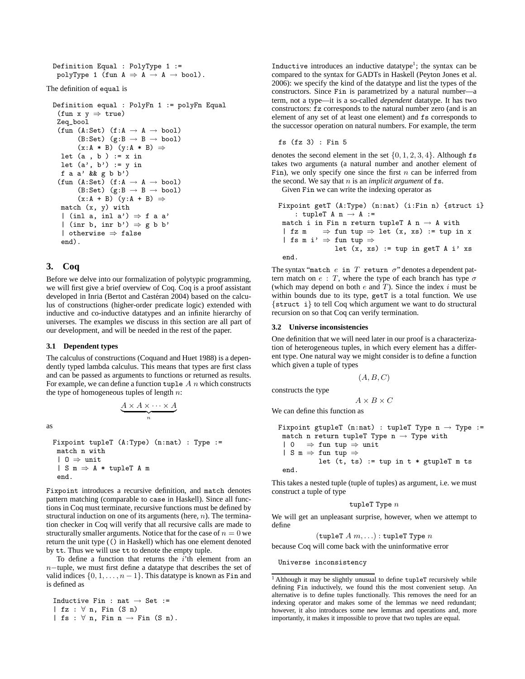```
Definition Equal : PolyType 1 :=
 polyType 1 (fun A \Rightarrow A \rightarrow A \rightarrow bool).
```
The definition of equal is

```
Definition equal : PolyFn 1 := polyFn Equal
 (fun x y \Rightarrow true)
 Zeq_bool
 (fun (A:Set) (f:A \rightarrow A \rightarrow bool)(B:Set) (g:B \rightarrow B \rightarrow bool)
        (x:A * B) (y:A * B) \Rightarrowlet (a, b) := x in
  let (a', b') := y in
  f a a' && g b b')
 (fun (A:Set) (f:A \rightarrow A \rightarrow bool)(B:Set) (g:B \rightarrow B \rightarrow bool)
        (x:A + B) (y:A + B) \Rightarrowmatch (x, y) with
  | (inl a, inl a') \Rightarrow f a a'
  | (inr b, inr b') \Rightarrow g b b'
  | otherwise ⇒ false
  end).
```
# **3. Coq**

Before we delve into our formalization of polytypic programming, we will first give a brief overview of Coq. Coq is a proof assistant developed in Inria (Bertot and Castéran 2004) based on the calculus of constructions (higher-order predicate logic) extended with inductive and co-inductive datatypes and an infinite hierarchy of universes. The examples we discuss in this section are all part of our development, and will be needed in the rest of the paper.

#### **3.1 Dependent types**

The calculus of constructions (Coquand and Huet 1988) is a dependently typed lambda calculus. This means that types are first class and can be passed as arguments to functions or returned as results. For example, we can define a function tuple  $A$  n which constructs the type of homogeneous tuples of length  $n$ :

 $\underbrace{A\times A\times\cdots\times A}_{n}$ 

as

```
Fixpoint tupleT (A:Type) (n:nat) : Type :=
match n with
 | 0 \Rightarrow unit
 | S m \Rightarrow A * tupleT A m
 end.
```
Fixpoint introduces a recursive definition, and match denotes pattern matching (comparable to case in Haskell). Since all functions in Coq must terminate, recursive functions must be defined by structural induction on one of its arguments (here,  $n$ ). The termination checker in Coq will verify that all recursive calls are made to structurally smaller arguments. Notice that for the case of  $n = 0$  we return the unit type (() in Haskell) which has one element denoted by tt. Thus we will use tt to denote the empty tuple.

To define a function that returns the  $i$ 'th element from an n−tuple, we must first define a datatype that describes the set of valid indices  $\{0, 1, \ldots, n-1\}$ . This datatype is known as Fin and is defined as

Inductive Fin : nat  $\rightarrow$  Set := | fz : ∀ n, Fin (S n) | fs :  $\forall$  n, Fin n  $\rightarrow$  Fin (S n).

Inductive introduces an inductive datatype<sup>1</sup>; the syntax can be compared to the syntax for GADTs in Haskell (Peyton Jones et al. 2006): we specify the kind of the datatype and list the types of the constructors. Since Fin is parametrized by a natural number—a term, not a type—it is a so-called *dependent* datatype. It has two constructors: fz corresponds to the natural number zero (and is an element of any set of at least one element) and fs corresponds to the successor operation on natural numbers. For example, the term

fs (fz 3) : Fin 5

denotes the second element in the set  $\{0, 1, 2, 3, 4\}$ . Although fs takes two arguments (a natural number and another element of Fin), we only specify one since the first  $n$  can be inferred from the second. We say that  $n$  is an *implicit argument* of  $fs$ .

Given Fin we can write the indexing operator as

```
Fixpoint getT (A:Type) (n:nat) (i:Fin n) {struct i}
    : tupleT A n \rightarrow A :=
 match i in Fin n return tupleT A n \rightarrow A with
 | fz m \Rightarrow fun tup \Rightarrow let (x, xs) := tup in x
 | fs m i' \Rightarrow fun tup \Rightarrowlet (x, xs) := tup in getT A i' xsend.
```
The syntax "match  $e$  in  $T$  return  $\sigma$ " denotes a dependent pattern match on  $e : T$ , where the type of each branch has type  $\sigma$ (which may depend on both  $e$  and  $T$ ). Since the index  $i$  must be within bounds due to its type, getT is a total function. We use {struct i} to tell Coq which argument we want to do structural recursion on so that Coq can verify termination.

#### **3.2 Universe inconsistencies**

One definition that we will need later in our proof is a characterization of heterogeneous tuples, in which every element has a different type. One natural way we might consider is to define a function which given a tuple of types

$$
(A,B,C)
$$

constructs the type

 $A \times B \times C$ 

We can define this function as

```
Fixpoint gtupleT (n:nat) : tupleT Type n \rightarrow Type :=
 match n return tupleT Type n \rightarrow Type with
 | 0 \Rightarrow fun tup \Rightarrow unit
 | S m \Rightarrow fun tup \Rightarrowlet (t, ts) := tup in t * gtupleT m tsend.
```
This takes a nested tuple (tuple of tuples) as argument, i.e. we must construct a tuple of type

$$
\mathtt{tupleT\ Type\ }n
$$

We will get an unpleasant surprise, however, when we attempt to define

```
(tupleT A m, ...) : tupleT Type n
```
because Coq will come back with the uninformative error

Universe inconsistency

<sup>&</sup>lt;sup>1</sup> Although it may be slightly unusual to define tupleT recursively while defining Fin inductively, we found this the most convenient setup. An alternative is to define tuples functionally. This removes the need for an indexing operator and makes some of the lemmas we need redundant; however, it also introduces some new lemmas and operations and, more importantly, it makes it impossible to prove that two tuples are equal.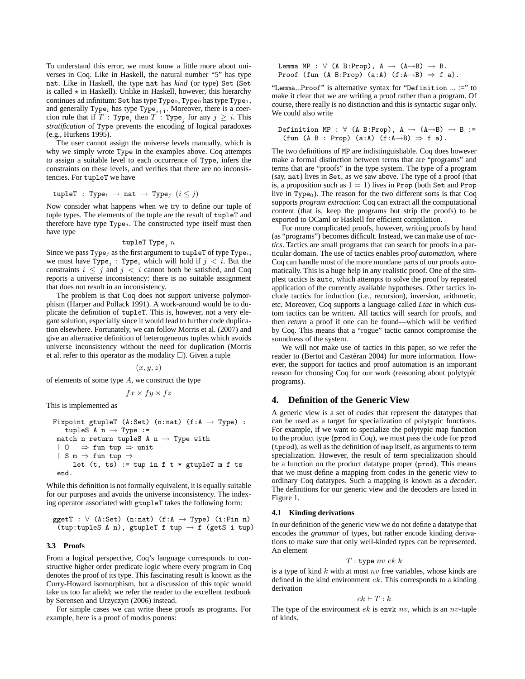To understand this error, we must know a little more about universes in Coq. Like in Haskell, the natural number "5" has type nat. Like in Haskell, the type nat has *kind* (or type) Set (Set is called  $\star$  in Haskell). Unlike in Haskell, however, this hierarchy continues ad infinitum: Set has type Type<sub>0</sub>, Type<sub>0</sub> has type Type<sub>1</sub>, and generally Type<sub>i</sub> has type Type<sub>i+1</sub>. Moreover, there is a coercion rule that if  $T: Type_i$  then  $T: Type_j$  for any  $j \geq i$ . This *stratification* of Type prevents the encoding of logical paradoxes (e.g., Hurkens 1995).

The user cannot assign the universe levels manually, which is why we simply wrote Type in the examples above. Coq attempts to assign a suitable level to each occurrence of Type, infers the constraints on these levels, and verifies that there are no inconsistencies. For tupleT we have

$$
\mathtt{tupleT} \; : \; \mathtt{Type}_i \; \rightarrow \; \mathtt{nat} \; \rightarrow \; \mathtt{Type}_j \; \; (i \leq j)
$$

Now consider what happens when we try to define our tuple of tuple types. The elements of the tuple are the result of tupleT and therefore have type  $Type<sub>j</sub>$ . The constructed type itself must then have type

#### tupleT Type<sub> $i$ </sub>  $n$

Since we pass Type<sub>i</sub> as the first argument to tupleT of type Type<sub>i</sub>, we must have  $Type_j : Type_i$  which will hold if  $j < i$ . But the constraints  $i \leq j$  and  $j < i$  cannot both be satisfied, and Coq reports a universe inconsistency: there is no suitable assignment that does not result in an inconsistency.

The problem is that Coq does not support universe polymorphism (Harper and Pollack 1991). A work-around would be to duplicate the definition of tupleT. This is, however, not a very elegant solution, especially since it would lead to further code duplication elsewhere. Fortunately, we can follow Morris et al. (2007) and give an alternative definition of heterogeneous tuples which avoids universe inconsistency without the need for duplication (Morris et al. refer to this operator as the modality  $\square$ ). Given a tuple

#### $(x, y, z)$

of elements of some type  $A$ , we construct the type

$$
fx \times fy \times fz
$$

This is implemented as

```
Fixpoint gtupleT (A:Set) (n:nat) (f:A \rightarrow Type):
   tupleS A n \rightarrow Type :=match n return tupleS A n \rightarrow Type with
 | 0 \implies fun tup \Rightarrow unit
 | S m \Rightarrow fun tup \Rightarrowlet (t, ts) := tup in f t * gtupleT m f tsend.
```
While this definition is not formally equivalent, it is equally suitable for our purposes and avoids the universe inconsistency. The indexing operator associated with gtupleT takes the following form:

$$
\begin{array}{l} \texttt{ggetT}\; :\; \forall \;\; (A \colon \!\! \texttt{Set}) \;\; (n \colon \!\! \texttt{nat}) \;\; (f \colon \!\! A \to \texttt{Type}) \;\; (i \colon \!\! \texttt{Fin}\; n) \\ \texttt{(tup:tupleS}\; \texttt{A}\; n)\; \texttt{gtupleT}\; \texttt{f}\; \texttt{tup} \to \texttt{f}\;\; (getS\; i\; \texttt{tup}) \end{array}
$$

#### **3.3 Proofs**

From a logical perspective, Coq's language corresponds to constructive higher order predicate logic where every program in Coq denotes the proof of its type. This fascinating result is known as the Curry-Howard isomorphism, but a discussion of this topic would take us too far afield; we refer the reader to the excellent textbook by Sørensen and Urzyczyn (2006) instead.

For simple cases we can write these proofs as programs. For example, here is a proof of modus ponens:

Lemma MP : 
$$
\forall
$$
 (A B:Prop),  $A \rightarrow (A \rightarrow B) \rightarrow B$ .  
Proof (fun (A B:Prop) (a:A) (f:A \rightarrow B)  $\Rightarrow$  f a).

"Lemma...Proof" is alternative syntax for "Definition ... :=" to make it clear that we are writing a proof rather than a program. Of course, there really is no distinction and this is syntactic sugar only. We could also write

Definition MP : 
$$
\forall
$$
 (A B:Prop), A  $\rightarrow$  (A $\rightarrow$ B)  $\rightarrow$  B := (fun (A B : Prop) (a:A) (f:A $\rightarrow$ B)  $\Rightarrow$  f a).

The two definitions of MP are indistinguishable. Coq does however make a formal distinction between terms that are "programs" and terms that are "proofs" in the type system. The type of a program (say, nat) lives in Set, as we saw above. The type of a proof (that is, a proposition such as  $1 = 1$ ) lives in Prop (both Set and Prop live in Type $_0$ ). The reason for the two different sorts is that Coq supports *program extraction*: Coq can extract all the computational content (that is, keep the programs but strip the proofs) to be exported to OCaml or Haskell for efficient compilation.

For more complicated proofs, however, writing proofs by hand (as "programs") becomes difficult. Instead, we can make use of *tactics*. Tactics are small programs that can search for proofs in a particular domain. The use of tactics enables *proof automation*, where Coq can handle most of the more mundane parts of our proofs automatically. This is a huge help in any realistic proof. One of the simplest tactics is auto, which attempts to solve the proof by repeated application of the currently available hypotheses. Other tactics include tactics for induction (i.e., recursion), inversion, arithmetic, etc. Moreover, Coq supports a language called *Ltac* in which custom tactics can be written. All tactics will search for proofs, and then *return* a proof if one can be found—which will be verified by Coq. This means that a "rogue" tactic cannot compromise the soundness of the system.

We will not make use of tactics in this paper, so we refer the reader to (Bertot and Castéran 2004) for more information. However, the support for tactics and proof automation is an important reason for choosing Coq for our work (reasoning about polytypic programs).

#### **4. Definition of the Generic View**

A generic view is a set of *codes* that represent the datatypes that can be used as a target for specialization of polytypic functions. For example, if we want to specialize the polytypic map function to the product type (prod in Coq), we must pass the code for prod (tprod), as well as the definition of map itself, as arguments to term specialization. However, the result of term specialization should be a function on the product datatype proper (prod). This means that we must define a mapping from codes in the generic view to ordinary Coq datatypes. Such a mapping is known as a *decoder*. The definitions for our generic view and the decoders are listed in Figure 1.

#### **4.1 Kinding derivations**

In our definition of the generic view we do not define a datatype that encodes the *grammar* of types, but rather encode kinding derivations to make sure that only well-kinded types can be represented. An element

$$
T: \texttt{type} \; nv \; ek \; k
$$

is a type of kind  $k$  with at most  $nv$  free variables, whose kinds are defined in the kind environment ek. This corresponds to a kinding derivation

$$
ek \vdash T : k
$$

The type of the environment  $ek$  is envk  $nv$ , which is an  $nv$ -tuple of kinds.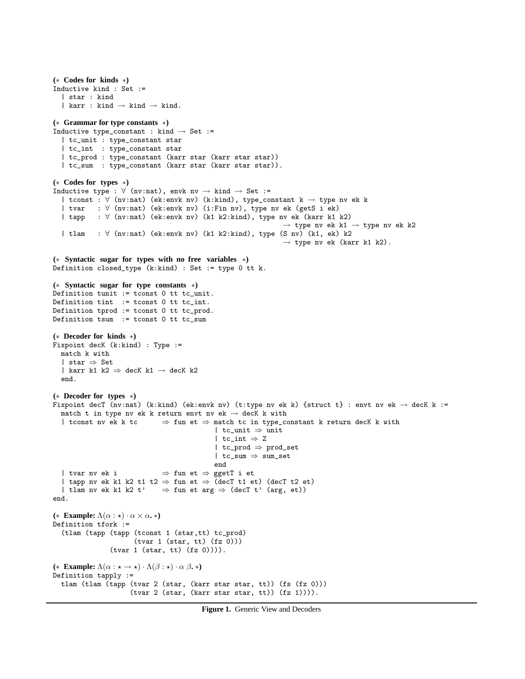```
(∗ Codes for kinds ∗)
Inductive kind : Set :=
  | star : kind
  | karr : kind \rightarrow kind \rightarrow kind.
(∗ Grammar for type constants ∗)
Inductive type_constant : kind \rightarrow Set :=
  | tc_unit : type_constant star
  | tc_int : type_constant star
  | tc_prod : type_constant (karr star (karr star star))
  | tc_sum : type_constant (karr star (karr star star)).
(∗ Codes for types ∗)
Inductive type : \forall (nv:nat), envk nv \rightarrow kind \rightarrow Set :=
  | tconst : ∀ (nv:nat) (ek:envk nv) (k:kind), type_constant k → type nv ek k
  | tvar : ∀ (nv:nat) (ek:envk nv) (i:Fin nv), type nv ek (getS i ek)
  | tapp : ∀ (nv:nat) (ek:envk nv) (k1 k2:kind), type nv ek (karr k1 k2)
                                                                 \rightarrow type nv ek k1 \rightarrow type nv ek k2
  | tlam : ∀ (nv:nat) (ek:envk nv) (k1 k2:kind), type (S nv) (k1, ek) k2
                                                                 \rightarrow type nv ek (karr k1 k2).
(∗ Syntactic sugar for types with no free variables ∗)
Definition closed_type (k:kind) : Set := type 0 tt k.
(∗ Syntactic sugar for type constants ∗)
Definition tunit := tconst 0 tt tc_unit.
Definition tint := tconst 0 tt tc_int.
Definition tprod := tconst 0 tt tc_prod.
Definition tsum := tconst 0 tt tc_sum
(∗ Decoder for kinds ∗)
Fixpoint decK (k:kind) : Type :=
  match k with
  | star ⇒ Set
  | karr k1 k2 \Rightarrow decK k1 \rightarrow decK k2
  end.
(∗ Decoder for types ∗)
Fixpoint decT (nv:nat) (k:kind) (ek:envk nv) (t:type nv ek k) {struct t} : envt nv ek \rightarrow decK k :=
  match t in type nv ek k return envt nv ek \rightarrow decK k with
  | tconst nv ek k tc ⇒ fun et ⇒ match tc in type_constant k return decK k with
                                             | tc_unit ⇒ unit
                                              | tc_int \Rightarrow Z
                                             | tc_prod ⇒ prod_set
                                             | tc_sum ⇒ sum_set
                                             end
  | tvar nv ek i \Rightarrow fun et \Rightarrow ggetT i et
  | tapp nv ek k1 k2 t1 t2 \Rightarrow fun et \Rightarrow (decT t1 et) (decT t2 et)
  | tlam nv ek k1 k2 t' \Rightarrow fun et arg \Rightarrow (decT t' (arg, et))
end.
(* Example: \Lambda(\alpha : \star) \cdot \alpha \times \alpha. *)
Definition tfork :=
  (tlam (tapp (tapp (tconst 1 (star,tt) tc_prod)
                       (tvar 1 (star, tt) (fz 0)))(tvar 1 (star, tt) (fz 0)))).
(* Example: \Lambda(\alpha : \star \to \star) \cdot \Lambda(\beta : \star) \cdot \alpha \beta. *)
Definition tapply :=
  tlam (tlam (tapp (tvar 2 (star, (karr star star, tt)) (fs (fz 0)))
                      (tvar 2 (star, (karr star star, tt)) (fz 1)))).
```
**Figure 1.** Generic View and Decoders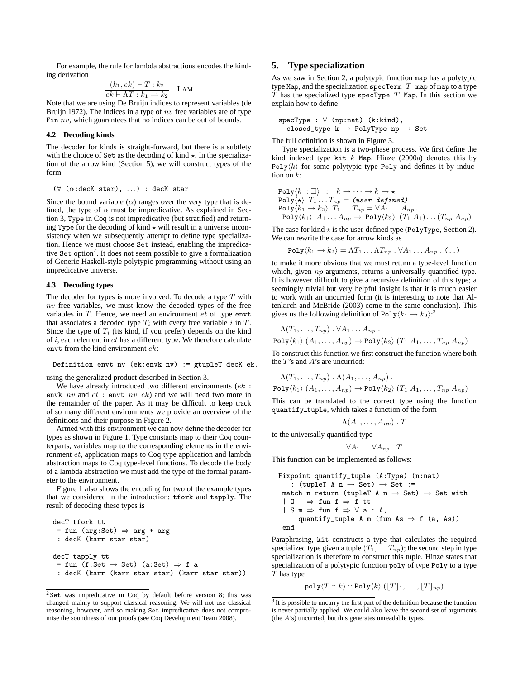For example, the rule for lambda abstractions encodes the kinding derivation

$$
\frac{(k_1, ek) \vdash T : k_2}{ek \vdash \Lambda T : k_1 \to k_2} \quad \text{LAM}
$$

Note that we are using De Bruijn indices to represent variables (de Bruijn 1972). The indices in a type of  $nv$  free variables are of type Fin nv, which guarantees that no indices can be out of bounds.

#### **4.2 Decoding kinds**

The decoder for kinds is straight-forward, but there is a subtlety with the choice of Set as the decoding of kind  $\star$ . In the specialization of the arrow kind (Section 5), we will construct types of the form

 $(\forall (\alpha : \text{decK star}), ...) : \text{decK star})$ 

Since the bound variable  $(\alpha)$  ranges over the very type that is defined, the type of  $\alpha$  must be impredicative. As explained in Section 3, Type in Coq is not impredicative (but stratified) and returning Type for the decoding of kind  $\star$  will result in a universe inconsistency when we subsequently attempt to define type specialization. Hence we must choose Set instead, enabling the impredicative Set option<sup>2</sup>. It does not seem possible to give a formalization of Generic Haskell-style polytypic programming without using an impredicative universe.

#### **4.3 Decoding types**

The decoder for types is more involved. To decode a type  $T$  with  $nv$  free variables, we must know the decoded types of the free variables in  $T$ . Hence, we need an environment  $et$  of type envt that associates a decoded type  $T_i$  with every free variable i in  $T$ . Since the type of  $T_i$  (its kind, if you prefer) depends on the kind of  $i$ , each element in  $et$  has a different type. We therefore calculate envt from the kind environment ek:

Definition envt nv (ek:envk nv) := gtupleT decK ek.

using the generalized product described in Section 3.

We have already introduced two different environments (ek : envk  $nv$  and  $et :$  envt  $nv$   $ek$ ) and we will need two more in the remainder of the paper. As it may be difficult to keep track of so many different environments we provide an overview of the definitions and their purpose in Figure 2.

Armed with this environment we can now define the decoder for types as shown in Figure 1. Type constants map to their Coq counterparts, variables map to the corresponding elements in the environment et, application maps to Coq type application and lambda abstraction maps to Coq type-level functions. To decode the body of a lambda abstraction we must add the type of the formal parameter to the environment.

Figure 1 also shows the encoding for two of the example types that we considered in the introduction: tfork and tapply. The result of decoding these types is

```
decT tfork tt
 = fun (arg:Set) \Rightarrow arg * arg
 : decK (karr star star)
decT tapply tt
 = fun (f:Set \rightarrow Set) (a:Set) \Rightarrow f a
 : decK (karr (karr star star) (karr star star))
```
# **5. Type specialization**

As we saw in Section 2, a polytypic function map has a polytypic type Map, and the specialization specTerm  $T$  map of map to a type  $T$  has the specialized type specType  $T$  Map. In this section we explain how to define

$$
specType : \forall (np:nat) (k:kind),
$$
  
closed\_type k  $\rightarrow$  PolyType np  $\rightarrow$  Set

The full definition is shown in Figure 3.

Type specialization is a two-phase process. We first define the kind indexed type kit  $k$  Map. Hinze (2000a) denotes this by Poly $\langle k \rangle$  for some polytypic type Poly and defines it by induction on  $k$ :

$$
\begin{array}{ll}\n\text{Poly}\langle k::\Box\rangle :: k \rightarrow \cdots \rightarrow k \rightarrow \star \\
\text{Poly}\langle \star\rangle T_1 \ldots T_{np} = (\text{user defined}) \\
\text{Poly}\langle k_1 \rightarrow k_2\rangle T_1 \ldots T_{np} = \forall A_1 \ldots A_{np} \\
\text{Poly}\langle k_1 \rangle A_1 \ldots A_{np} \rightarrow \text{Poly}\langle k_2 \rangle (T_1 A_1) \ldots (T_{np} A_{np})\n\end{array}
$$

The case for kind  $\star$  is the user-defined type (PolyType, Section 2). We can rewrite the case for arrow kinds as

$$
\mathrm{Poly}\langle k_1 \to k_2 \rangle = \Lambda T_1 \dots \Lambda T_{np} \cdot \forall A_1 \dots A_{np} \cdot (\dots)
$$

to make it more obvious that we must return a type-level function which, given  $np$  arguments, returns a universally quantified type. It is however difficult to give a recursive definition of this type; a seemingly trivial but very helpful insight is that it is much easier to work with an uncurried form (it is interesting to note that Altenkirch and McBride (2003) come to the same conclusion). This gives us the following definition of Poly $\langle k_1 \rightarrow k_2 \rangle$ :<sup>3</sup>

$$
\Lambda(T_1,\ldots,T_{np})\cdot \forall A_1\ldots A_{np}.
$$

$$
\mathrm{Poly}\langle k_1\rangle\ (A_1,\ldots,A_{np})\to \mathrm{Poly}\langle k_2\rangle\ (T_1\ A_1,\ldots,T_{np}\ A_{np})
$$

To construct this function we first construct the function where both the  $T$ 's and  $A$ 's are uncurried:

$$
\Lambda(T_1,\ldots,T_{np}) \cdot \Lambda(A_1,\ldots,A_{np}) .
$$
  
Poly $\langle k_1 \rangle$   $(A_1,\ldots,A_{np}) \rightarrow \text{Poly}\langle k_2 \rangle$   $(T_1 A_1,\ldots,T_{np} A_{np})$ 

This can be translated to the correct type using the function quantify tuple, which takes a function of the form

$$
\Lambda(A_1,\ldots,A_{np})\;.\;T
$$

to the universally quantified type

$$
\forall A_1 \ldots \forall A_{np} \ . T
$$

This function can be implemented as follows:

```
\nFigure 1: Find the function of the function:\n
$$
\begin{aligned}\n\text{Figure 2: } \text{[tuple } (A:Type) \text{ (n:nat)} \\
\text{[tuple } A \text{ n} \rightarrow \text{Set)} \rightarrow \text{Set} \\
\text{[telle } A \text{ n} \rightarrow \text{Set} \rightarrow \text{Set} \text{ with } B \text{ n} \rightarrow \text{Set} \text{ with } B \text{ n} \rightarrow \text{[telle } A \text{ n} \rightarrow \text{Set} \text{ with } B \text{ n} \rightarrow \text{[telle } A \text{ n} \text{ (tule } A \text{ s} \rightarrow \text{[tule } A \text{ m} \text{ (tule } A \text{ s} \rightarrow \text{[tule } A \text{ m} \text{ (tule } A \text{ s} \rightarrow \text{[tule } A \text{ m} \text{ (tule } A \text{ s} \rightarrow \text{[tule } A \text{ m} \text{ (tule } A \text{ s} \rightarrow \text{[tule } A \text{ m} \text{ (tule } A \text{ s} \rightarrow \text{[tule } A \text{ m} \text{ (tule } A \text{ s} \rightarrow \text{[tule } A \text{ m} \text{ (tule } A \text{ s} \rightarrow \text{[tule } A \text{ m} \text{ (tule } A \text{ s} \rightarrow \text{[tule } A \text{ m} \text{ (tule } A \text{ s} \rightarrow \text{[tule } A \text{ m} \text{ (tule } A \text{ s} \rightarrow \text{[tule } A \text{ m} \text{ (tule } A \text{ s} \rightarrow \text{[tule } A \text{ m} \text{ (tule } A \text{ s} \rightarrow \text{[tule } A \text{ m} \text{ (tule } A \text{ s} \rightarrow \text{[tule } A \text{ s} \text{))} \text{ with } B \text{ (tule } A \text{ s} \rightarrow \text{[tule } A \text{ s} \text{ (tule } A \text{ s} \rightarrow \text{[tule } A \text{ s} \text{ (tblue } B \text{ s} \rightarrow \text{[tule } A \text{ s} \text{ (tblue } B \text{ s} \rightarrow \text{[tblue } B \text{ s} \rightarrow \text{[tblue } B \text{ s} \text{ (tblue } B \text{ s} \rightarrow \text{[tblue } B \text{ s} \rightarrow \text{[tblue } B \text{ s} \rightarrow \text{[tblue
$$

```

Paraphrasing, kit constructs a type that calculates the required specialized type given a tuple  $(T_1, \ldots, T_{np})$ ; the second step in type specialization is therefore to construct this tuple. Hinze states that specialization of a polytypic function poly of type Poly to a type  $\overline{T}$  has type

$$
\text{poly}\langle T::k\rangle::\text{Poly}\langle k\rangle\left(\lfloor T\rfloor_1,\ldots,\lfloor T\rfloor_{np}\right)
$$

 $2$  Set was impredicative in Coq by default before version 8; this was changed mainly to support classical reasoning. We will not use classical reasoning, however, and so making Set impredicative does not compromise the soundness of our proofs (see Coq Development Team 2008).

<sup>&</sup>lt;sup>3</sup> It is possible to uncurry the first part of the definition because the function is never partially applied. We could also leave the second set of arguments (the A's) uncurried, but this generates unreadable types.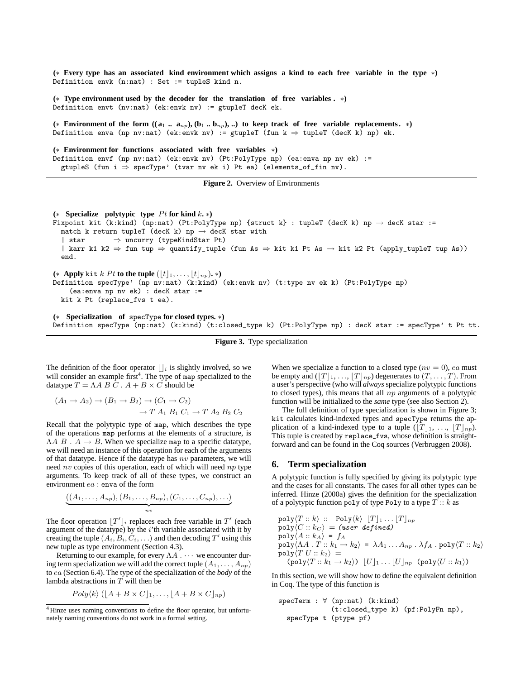**(**∗ **Every type has an associated kind environment which assigns a kind to each free variable in the type** ∗**)** Definition envk (n:nat) : Set := tupleS kind n.

**(**∗ **Type environment used by the decoder for the translation of free variables .** ∗**)** Definition envt (nv:nat) (ek:envk nv) := gtupleT decK ek.

 $(*$  **Environment of the form**  $((a_1 \ldots a_n)_b, (b_1 \ldots b_n)_b, ...)$  to keep track of free variable replacements.  $*$ ) Definition enva (np nv:nat) (ek:envk nv) := gtupleT (fun k  $\Rightarrow$  tupleT (decK k) np) ek.

**(**∗ **Environment for functions associated with free variables** ∗**)** Definition envf (np nv:nat) (ek:envk nv) (Pt:PolyType np) (ea:enva np nv ek) := gtupleS (fun i  $\Rightarrow$  specType' (tvar nv ek i) Pt ea) (elements\_of\_fin nv).

**Figure 2.** Overview of Environments

```
(* Specialize polytypic type Pt for kind k.*)
Fixpoint kit (k:kind) (np:nat) (Pt:PolyType np) {struct k} : tupleT (decK k) np \rightarrow decK star :=
  match k return tupleT (decK k) np \rightarrow decK star with
  | star ⇒ uncurry (typeKindStar Pt)
  | karr k1 k2 \Rightarrow fun tup \Rightarrow quantify_tuple (fun As \Rightarrow kit k1 Pt As \rightarrow kit k2 Pt (apply_tupleT tup As))
  end.
(* Apply kit k Pt to the tuple (|t|_1, \ldots, |t|_{np}). *)Definition specType' (np nv:nat) (k:kind) (ek:envk nv) (t:type nv ek k) (Pt:PolyType np)
    (ea:enva np nv ek) : decK star :=
  kit k Pt (replace_fvs t ea).
```
**(**∗ **Specialization of** specType **for closed types.** ∗**)** Definition specType (np:nat) (k:kind) (t:closed\_type k) (Pt:PolyType np) : decK star := specType' t Pt tt.

**Figure 3.** Type specialization

The definition of the floor operator  $\lfloor \cdot \rfloor_i$  is slightly involved, so we will consider an example first<sup>4</sup>. The type of map specialized to the datatype  $T = \Lambda A B C$ .  $A + B \times C$  should be

$$
(A_1 \rightarrow A_2) \rightarrow (B_1 \rightarrow B_2) \rightarrow (C_1 \rightarrow C_2)
$$
  

$$
\rightarrow T A_1 B_1 C_1 \rightarrow T A_2 B_2 C_2
$$

Recall that the polytypic type of map, which describes the type of the operations map performs at the elements of a structure, is  $\Lambda A \, B \, A \rightarrow B$ . When we specialize map to a specific datatype, we will need an instance of this operation for each of the arguments of that datatype. Hence if the datatype has  $nv$  parameters, we will need  $nv$  copies of this operation, each of which will need  $np$  type arguments. To keep track of all of these types, we construct an environment ea : enva of the form

$$
\big((A_1,\ldots,A_{np}),(B_1,\ldots,B_{np}),(C_1,\ldots,C_{np}),\ldots\big)
$$

The floor operation  $[T']_i$  replaces each free variable in  $T'$  (each argument of the datatype) by the  $i$ 'th variable associated with it by creating the tuple  $(A_i, B_i, C_i, ...)$  and then decoding T' using this new tuple as type environment (Section 4.3).

Returning to our example, for every  $\Lambda A$  .  $\cdots$  we encounter during term specialization we will add the correct tuple  $(A_1, \ldots, A_{nn})$ to ea (Section 6.4). The type of the specialization of the *body* of the lambda abstractions in T will then be

$$
Poly\langle k\rangle ([A + B \times C]_1, \ldots, [A + B \times C]_{np})
$$

When we specialize a function to a closed type  $(nv = 0)$ , ea must be empty and  $([T]_1, ..., [T]_{np})$  degenerates to  $(T, ..., T)$ . From a user's perspective (who will *always* specialize polytypic functions to closed types), this means that all  $np$  arguments of a polytypic function will be initialized to the *same* type (see also Section 2).

The full definition of type specialization is shown in Figure 3; kit calculates kind-indexed types and specType returns the application of a kind-indexed type to a tuple  $(|T|_1, \ldots, |T|_{np})$ . This tuple is created by replace\_fvs, whose definition is straightforward and can be found in the Coq sources (Verbruggen 2008).

## **6. Term specialization**

A polytypic function is fully specified by giving its polytypic type and the cases for all constants. The cases for all other types can be inferred. Hinze (2000a) gives the definition for the specialization of a polytypic function poly of type Poly to a type  $T: k$  as

$$
poly\langle T::k\rangle :: Poly\langle k\rangle |T]_1...|T]_{np}
$$
  
\n
$$
poly\langle C::k_C\rangle = (user\ defined)
$$
  
\n
$$
poly\langle A::k_A\rangle = f_A
$$
  
\n
$$
poly\langle \Lambda A \cdot T::k_1 \to k_2\rangle = \lambda A_1...A_{np} \cdot \lambda f_A \cdot poly\langle T::k_2\rangle
$$
  
\n
$$
poly\langle T::k_2\rangle =
$$
  
\n
$$
(poly\langle T::k_1 \to k_2\rangle) |U|_1...|U|_{np} (poly\langle U::k_1\rangle)
$$

In this section, we will show how to define the equivalent definition in Coq. The type of this function is

specTerm : ∀ (np:nat) (k:kind) (t:closed\_type k) (pf:PolyFn np), specType t (ptype pf)

<sup>4</sup> Hinze uses naming conventions to define the floor operator, but unfortunately naming conventions do not work in a formal setting.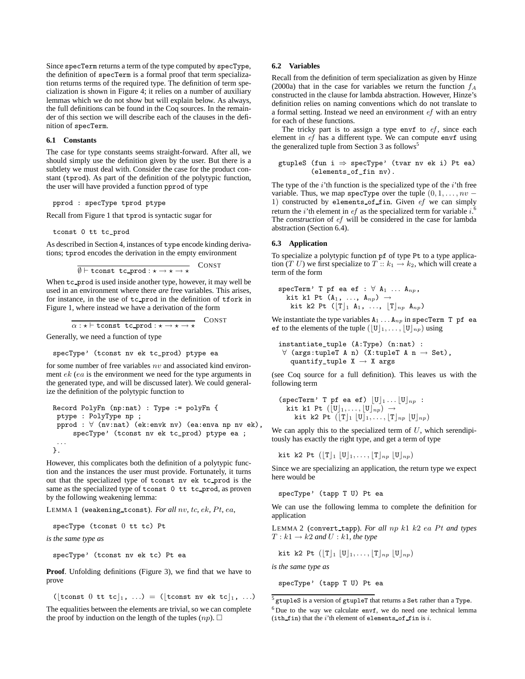Since specTerm returns a term of the type computed by specType, the definition of specTerm is a formal proof that term specialization returns terms of the required type. The definition of term specialization is shown in Figure 4; it relies on a number of auxiliary lemmas which we do not show but will explain below. As always, the full definitions can be found in the Coq sources. In the remainder of this section we will describe each of the clauses in the definition of specTerm.

## **6.1 Constants**

The case for type constants seems straight-forward. After all, we should simply use the definition given by the user. But there is a subtlety we must deal with. Consider the case for the product constant (tprod). As part of the definition of the polytypic function, the user will have provided a function pprod of type

pprod : specType tprod ptype

Recall from Figure 1 that tprod is syntactic sugar for

tconst 0 tt tc\_prod

As described in Section 4, instances of type encode kinding derivations; tprod encodes the derivation in the empty environment

```
\overline{\emptyset \vdash tconst tc_prod : * \rightarrow * \rightarrow *
                                                                CONST
```
When tc prod is used inside another type, however, it may well be used in an environment where there *are* free variables. This arises, for instance, in the use of tc prod in the definition of tfork in Figure 1, where instead we have a derivation of the form

$$
\overline{\alpha: \star \vdash \text{tconst } \text{tc\_prod}: \star \rightarrow \star \rightarrow \star}
$$

Generally, we need a function of type

specType' (tconst nv ek tc\_prod) ptype ea

for some number of free variables  $nv$  and associated kind environment  $ek$  (ea is the environment we need for the type arguments in the generated type, and will be discussed later). We could generalize the definition of the polytypic function to

```
Record PolyFn (np:nat) : Type := polyFn {
ptype : PolyType np ;
pprod : ∀ (nv:nat) (ek:envk nv) (ea:enva np nv ek),
     specType' (tconst nv ek tc_prod) ptype ea ;
 . . .
}.
```
However, this complicates both the definition of a polytypic function and the instances the user must provide. Fortunately, it turns out that the specialized type of tconst nv ek tc prod is the same as the specialized type of tconst 0 tt tc\_prod, as proven by the following weakening lemma:

LEMMA 1 (weakening tconst). *For all* nv*,* tc*,* ek*,* P t*,* ea*,*

specType (tconst 0 tt tc) Pt

*is the same type as*

specType' (tconst nv ek tc) Pt ea

**Proof**. Unfolding definitions (Figure 3), we find that we have to prove

([tconst 0 tt tc], ...) = ([tconst nv ek tc], ...)

The equalities between the elements are trivial, so we can complete the proof by induction on the length of the tuples  $(np)$ .  $\square$ 

## **6.2 Variables**

Recall from the definition of term specialization as given by Hinze (2000a) that in the case for variables we return the function  $f_A$ constructed in the clause for lambda abstraction. However, Hinze's definition relies on naming conventions which do not translate to a formal setting. Instead we need an environment ef with an entry for each of these functions.

The tricky part is to assign a type envf to  $ef$ , since each element in ef has a different type. We can compute envf using the generalized tuple from Section 3 as follows<sup>5</sup>

```
gtupleS (fun i \Rightarrow specType' (tvar nv ek i) Pt ea)
         (elements_of_fin nv).
```
The type of the  $i$ 'th function is the specialized type of the  $i$ 'th free variable. Thus, we map specType over the tuple  $(0, 1, \ldots, nv -$ 1) constructed by elements of fin. Given ef we can simply return the *i*'th element in *ef* as the specialized term for variable  $i$ .<sup>6</sup> The *construction* of ef will be considered in the case for lambda abstraction (Section 6.4).

#### **6.3 Application**

To specialize a polytypic function pf of type Pt to a type application (T U) we first specialize to T ::  $k_1 \rightarrow k_2$ , which will create a term of the form

$$
\begin{array}{ll}\texttt{specTerm'} \ \texttt{T} \ \texttt{pf} \ \texttt{ea} \ \texttt{ef} \ : \ \forall \ \texttt{A}_1 \ \ldots \ \texttt{A}_{np},\\ \texttt{kit k1 Pt} \ \texttt{(A}_1, \ \ldots, \ \texttt{A}_{np}) \ \rightarrow \\ \texttt{kit k2 Pt} \ ([\mathbf{T}]_1 \ \texttt{A}_1, \ \ldots, \ [\mathbf{T}]_{np} \ \texttt{A}_{np})\end{array}
$$

We instantiate the type variables  $A_1 \ldots A_{np}$  in specTerm T pf ea ef to the elements of the tuple  $(|U|_1, \ldots, |U|_{np})$  using

instantiate\_tuple (A:Type) (n:nat) :  $\forall$  (args:tupleT A n) (X:tupleT A n  $\rightarrow$  Set), quantify\_tuple  $X \rightarrow X$  args

(see Coq source for a full definition). This leaves us with the following term

```
(specTerm' T pf ea ef) |U|_1 \dots |U|_{np} :
   kit k1 Pt ([U]_1, \ldots, [U]_{np}) \rightarrowkit k2 Pt (\lfloor T \rfloor_1 \lfloor U \rfloor_1, \ldots, \lfloor T \rfloor_{np} \lfloor U \rfloor_{np})
```
We can apply this to the specialized term of  $U$ , which serendipitously has exactly the right type, and get a term of type

kit k2 Pt  $(\lfloor T \rfloor_1 \lfloor U \rfloor_1, \ldots, \lfloor T \rfloor_{np} \lfloor U \rfloor_{np})$ 

Since we are specializing an application, the return type we expect here would be

specType' (tapp T U) Pt ea

We can use the following lemma to complete the definition for application

LEMMA 2 (convert\_tapp). For all np k1 k2 ea Pt and types  $T: k1 \rightarrow k2$  and  $U: k1$ , the type

kit k2 Pt 
$$
([T]_1 [U]_1, \ldots, [T]_{np} [U]_{np})
$$

*is the same type as*

specType' (tapp T U) Pt ea

<sup>5</sup> gtupleS is a version of gtupleT that returns a Set rather than a Type.

 $6$  Due to the way we calculate envf, we do need one technical lemma  $(i<sup>th</sup> f in)$  that the i'th element of elements of fin is i.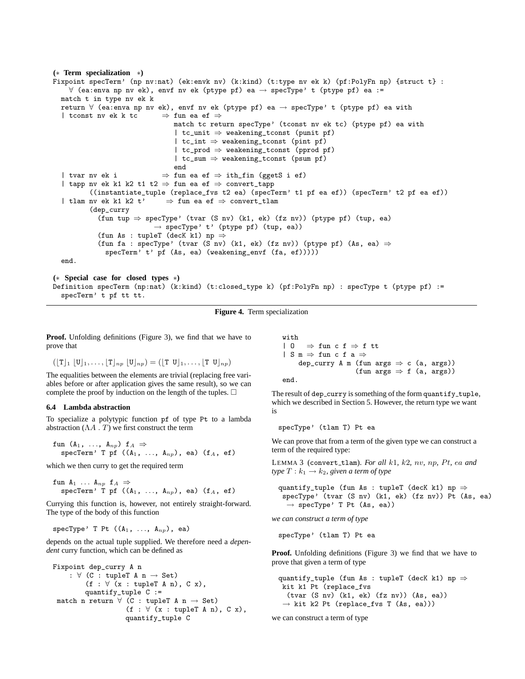```
(∗ Term specialization ∗)
Fixpoint specTerm' (np nv:nat) (ek:envk nv) (k:kind) (t:type nv ek k) (pf:PolyFn np) {struct t} :
    ∀ (ea:enva np nv ek), envf nv ek (ptype pf) ea → specType' t (ptype pf) ea :=
  match t in type nv ek k
  return ∀ (ea:enva np nv ek), envf nv ek (ptype pf) ea → specType' t (ptype pf) ea with
  | tconst nv ek k tc \Rightarrow fun ea ef \Rightarrowmatch tc return specType' (tconst nv ek tc) (ptype pf) ea with
                                  | tc_unit ⇒ weakening_tconst (punit pf)
                                  \, \, tc_int \Rightarrow weakening_tconst (pint pf)
                                  \begin{array}{l} \mid \texttt{tc\_prod} \Rightarrow \texttt{weakening\_tconst} \texttt{ (pprod pf)} \end{array}| tc_sum ⇒ weakening_tconst (psum pf)
                                 end
  | tvar nv ek i \Rightarrow fun ea ef \Rightarrow ith_fin (ggetS i ef)
  | tapp nv ek k1 k2 t1 t2 ⇒ fun ea ef ⇒ convert_tapp
          ((instantiate_tuple (replace_fvs t2 ea) (specTerm' t1 pf ea ef)) (specTerm' t2 pf ea ef))
  | tlam nv ek k1 k2 t' \Rightarrow fun ea ef \Rightarrow convert_tlam
          (dep_curry
            (fun tup \Rightarrow specType' (tvar (S nv) (k1, ek) (fz nv)) (ptype pf) (tup, ea)
                            \rightarrow specType' t' (ptype pf) (tup, ea))
            (fun As : tupleT (decK k1) np \Rightarrow(fun fa : specType' (tvar (S nv) (k1, ek) (fz nv)) (ptype pf) (As, ea) \RightarrowspecTerm' t' pf (As, ea) (weakening_envf (fa, ef)))))
  end.
(∗ Special case for closed types ∗)
Definition specTerm (np:nat) (k:kind) (t:closed_type k) (pf:PolyFn np) : specType t (ptype pf) :=
  specTerm' t pf tt tt.
```

```
Figure 4. Term specialization
```
**Proof.** Unfolding definitions (Figure 3), we find that we have to prove that

$$
(\lfloor T \rfloor_1 \lfloor U \rfloor_1, \ldots, \lfloor T \rfloor_{np} \lfloor U \rfloor_{np}) = (\lfloor T \lfloor U \rfloor_1, \ldots, \lfloor T \lfloor U \rfloor_{np})
$$

The equalities between the elements are trivial (replacing free variables before or after application gives the same result), so we can complete the proof by induction on the length of the tuples.  $\Box$ 

#### **6.4 Lambda abstraction**

To specialize a polytypic function pf of type Pt to a lambda abstraction  $(\Lambda A \cdot T)$  we first construct the term

$$
\texttt{fun} \ (A_1, \ \ldots, \ A_{np}) \ f_A \Rightarrow \\
 \texttt{specTerm'} \ T \ pf \ ((A_1, \ \ldots, \ A_{np}), \ \texttt{ea}) \ (f_A, \ \texttt{ef})
$$

which we then curry to get the required term

fun  $A_1 \ldots A_{np}$  f<sub>A</sub>  $\Rightarrow$ specTerm' T pf  $((A_1, ..., A_{np}),$  ea)  $(f_A, ef)$ 

Currying this function is, however, not entirely straight-forward. The type of the body of this function

specType' T Pt  $((A_1, \ldots, A_{np}),$  ea)

depends on the actual tuple supplied. We therefore need a *dependent* curry function, which can be defined as

```
Fixpoint dep_curry A n
     : \forall (C : tupleT A n \rightarrow Set)
          (f : \forall (x : tupleT A n), C x),quantify_tuple C :=
 match n return \forall (C : tupleT A n \rightarrow Set)
                      (f : \forall (x : tupleT A n), C x),quantify_tuple C
```

```
with
| 0 \Rightarrow fun c f \Rightarrow f tt
| S m \Rightarrow fun c f a \Rightarrowdep_curry A m (fun args \Rightarrow c (a, args))
                          (fun args \Rightarrow f (a, args))
```
end.

The result of dep\_curry is something of the form quantify\_tuple, which we described in Section 5. However, the return type we want is

specType' (tlam T) Pt ea

We can prove that from a term of the given type we can construct a term of the required type:

LEMMA 3 (convert tlam). *For all* k1*,* k2*,* nv*,* np*,* P t*,* ea *and type*  $T: k_1 \rightarrow k_2$ *, given a term of type* 

quantify\_tuple (fun As : tupleT (decK k1) np  $\Rightarrow$ specType' (tvar (S nv) (k1, ek) (fz nv)) Pt (As, ea)  $\rightarrow$  specType' T Pt (As, ea))

*we can construct a term of type*

specType' (tlam T) Pt ea

**Proof.** Unfolding definitions (Figure 3) we find that we have to prove that given a term of type

```
quantify_tuple (fun As : tupleT (decK k1) np \Rightarrowkit k1 Pt (replace_fvs
  (tvar (S nv) (k1, ek) (fz nv)) (As, ea))
 \rightarrow kit k2 Pt (replace_fvs T (As, ea)))
```
we can construct a term of type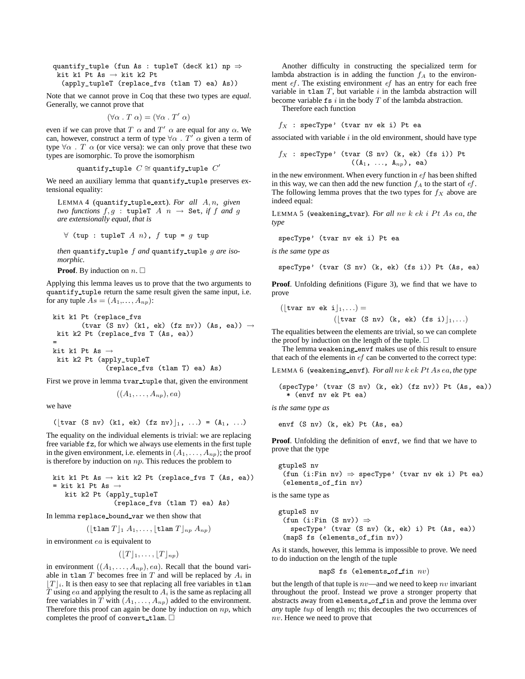quantify\_tuple (fun As : tupleT (decK k1) np  $\Rightarrow$ kit k1 Pt As  $\rightarrow$  kit k2 Pt

(apply\_tupleT (replace\_fvs (tlam T) ea) As))

Note that we cannot prove in Coq that these two types are *equal*. Generally, we cannot prove that

$$
(\forall \alpha \cdot T \alpha) = (\forall \alpha \cdot T' \alpha)
$$

even if we can prove that T  $\alpha$  and T'  $\alpha$  are equal for any  $\alpha$ . We can, however, construct a term of type  $\forall \alpha$  .  $T' \alpha$  given a term of type  $\forall \alpha$ . T  $\alpha$  (or vice versa): we can only prove that these two types are isomorphic. To prove the isomorphism

$$
\mathtt{quantify\_tuple} \ \ C \cong \mathtt{quantify\_tuple} \ \ C'
$$

We need an auxiliary lemma that quantify tuple preserves extensional equality:

LEMMA 4 (quantify tuple ext). *For all* A, n*, given two functions*  $f, g : \text{tuple } A \text{ } n \rightarrow \text{ Set, if } f \text{ and } g$ *are extensionally equal, that is*

$$
\forall (tup : tupleT \land n), f \text{ tup} = g \text{ tup}
$$

*then* quantify tuple f *and* quantify tuple g *are isomorphic.*

**Proof.** By induction on  $n \square$ 

Applying this lemma leaves us to prove that the two arguments to quantify\_tuple return the same result given the same input, i.e. for any tuple  $As = (A_1, \ldots, A_{np})$ :

\n
$$
\text{kit } k1 \text{ Pt (replace_fvs)} \quad (\text{tvar (S nv) (k1, ek) (fz nv)) (As, ea))} \rightarrow
$$
\n

\n\n $\text{kit } k2 \text{ Pt (replace_fvs T (As, ea))} =$ \n

\n\n $\text{kit } k1 \text{ Pt As} \rightarrow$ \n

\n\n $\text{kit } k2 \text{ Pt (apply_tupleT} \quad (\text{replace_fvs (tlam T) ea) As})$ \n

First we prove in lemma tvar\_tuple that, given the environment

$$
((A_1,\ldots,A_{np}),ea)
$$

we have

```
(|\text{tvar (S nv) (k1, ek) (fz nv)}|_1, ...)= (A_1, ...)
```
The equality on the individual elements is trivial: we are replacing free variable fz, for which we always use elements in the first tuple in the given environment, i.e. elements in  $(A_1, \ldots, A_{np})$ ; the proof is therefore by induction on  $np$ . This reduces the problem to

\n
$$
\text{kit } k1 \text{ Pt} \text{ As} \rightarrow \text{kit } k2 \text{ Pt} \text{ (replace_fvs T (As, ea))}
$$
\n

\n\n $= \text{kit } k1 \text{ Pt} \text{ As} \rightarrow \text{kit } k2 \text{ Pt} \text{ (apply_tupleT (replace_fvs (tlam T) ea) As)}$ \n

In lemma replace\_bound\_var we then show that

$$
(\lfloor \tan T \rfloor_1 A_1, \ldots, \lfloor \tan T \rfloor_{np} A_{np})
$$

in environment ea is equivalent to

$$
(\lfloor T \rfloor_1, \ldots, \lfloor T \rfloor_{np})
$$

in environment  $((A_1, \ldots, A_{np}), ea)$ . Recall that the bound variable in tlam  $T$  becomes free in  $T$  and will be replaced by  $A_i$  in  $|T|_i$ . It is then easy to see that replacing all free variables in tlam T using ea and applying the result to  $A_i$  is the same as replacing all free variables in T with  $(A_1, \ldots, A_{np})$  added to the environment. Therefore this proof can again be done by induction on  $np$ , which completes the proof of convert\_tlam.  $\square$ 

Another difficulty in constructing the specialized term for lambda abstraction is in adding the function  $f_A$  to the environment *ef*. The existing environment *ef* has an entry for each free variable in  $t$ lam  $T$ , but variable  $i$  in the lambda abstraction will become variable  $f$ s i in the body  $T$  of the lambda abstraction.

Therefore each function

 $f_X$  : specType' (tvar nv ek i) Pt ea

associated with variable  $i$  in the old environment, should have type

$$
f_X
$$
: specType' (tvar (S nv) (k, ek) (fs i)) Pt  
((A<sub>1</sub>, ..., A<sub>np</sub>), ea)

in the new environment. When every function in ef has been shifted in this way, we can then add the new function  $f_A$  to the start of  $ef$ . The following lemma proves that the two types for  $f_X$  above are indeed equal:

LEMMA 5 (weakening\_tvar). *For all nv k ek i Pt As ea, the type*

specType' (tvar nv ek i) Pt ea

*is the same type as*

specType' (tvar (S nv) (k, ek) (fs i)) Pt (As, ea)

**Proof.** Unfolding definitions (Figure 3), we find that we have to prove

([tvar nv ek i $\vert_1, \ldots$ ] = ( $\lvert \text{tvar (S nv) (k, ek) (fs i)} \rvert_1, \ldots$ )

The equalities between the elements are trivial, so we can complete the proof by induction on the length of the tuple.  $\Box$ 

The lemma weakening envf makes use of this result to ensure that each of the elements in  $ef$  can be converted to the correct type:

LEMMA 6 (weakening\_envf). *For all nv k ek Pt As ea, the type* 

(specType' (tvar (S nv) (k, ek) (fz nv)) Pt (As, ea)) \* (envf nv ek Pt ea)

*is the same type as*

envf (S nv) (k, ek) Pt (As, ea)

**Proof.** Unfolding the definition of envf, we find that we have to prove that the type

```
gtupleS nv
 (fun (i:Fin nv) \Rightarrow specType' (tvar nv ek i) Pt ea)
 (elements_of_fin nv)
```
is the same type as

```
gtupleS nv
 (fun (i:Fin (S nv)) \RightarrowspecType' (tvar (S nv) (k, ek) i) Pt (As, ea))
 (mapS fs (elements_of_fin nv))
```
As it stands, however, this lemma is impossible to prove. We need to do induction on the length of the tuple

#### mapS fs (elements of fin  $nv$ )

but the length of that tuple is  $nv$ —and we need to keep  $nv$  invariant throughout the proof. Instead we prove a stronger property that abstracts away from elements of fin and prove the lemma over *any* tuple tup of length m; this decouples the two occurrences of nv. Hence we need to prove that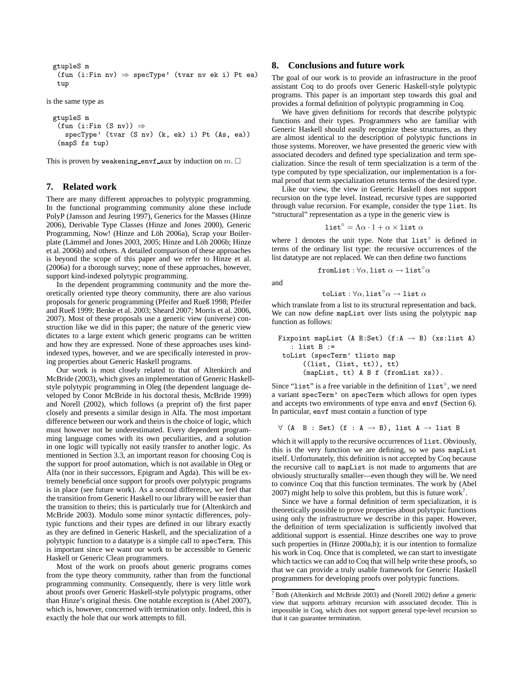```
gtupleS m
 (fun (i:Fin nv) \Rightarrow specType' (tvar nv ek i) Pt ea)
 tup
```
is the same type as

```
gtupleS m
 (fun (i:Fin (S nv)) \RightarrowspecType' (tvar (S nv) (k, ek) i) Pt (As, ea))
 (mapS fs tup)
```
This is proven by weakening envf aux by induction on  $m.$   $\square$ 

## **7. Related work**

There are many different approaches to polytypic programming. In the functional programming community alone these include PolyP (Jansson and Jeuring 1997), Generics for the Masses (Hinze 2006), Derivable Type Classes (Hinze and Jones 2000), Generic Programming, Now! (Hinze and Löh 2006a), Scrap your Boilerplate (Lämmel and Jones 2003, 2005; Hinze and Löh 2006b; Hinze et al. 2006b) and others. A detailed comparison of these approaches is beyond the scope of this paper and we refer to Hinze et al. (2006a) for a thorough survey; none of these approaches, however, support kind-indexed polytypic programming.

In the dependent programming community and the more theoretically oriented type theory community, there are also various proposals for generic programming (Pfeifer and Rueß 1998; Pfeifer and Rueß 1999; Benke et al. 2003; Sheard 2007; Morris et al. 2006, 2007). Most of these proposals use a generic view (universe) construction like we did in this paper; the nature of the generic view dictates to a large extent which generic programs can be written and how they are expressed. None of these approaches uses kindindexed types, however, and we are specifically interested in proving properties about Generic Haskell programs.

Our work is most closely related to that of Altenkirch and McBride (2003), which gives an implementation of Generic Haskellstyle polytypic programming in Oleg (the dependent language developed by Conor McBride in his doctoral thesis, McBride 1999) and Norell (2002), which follows (a preprint of) the first paper closely and presents a similar design in Alfa. The most important difference between our work and theirs is the choice of logic, which must however not be underestimated. Every dependent programming language comes with its own peculiarities, and a solution in one logic will typically not easily transfer to another logic. As mentioned in Section 3.3, an important reason for choosing Coq is the support for proof automation, which is not available in Oleg or Alfa (nor in their successors, Epigram and Agda). This will be extremely beneficial once support for proofs over polytypic programs is in place (see future work). As a second difference, we feel that the transition from Generic Haskell to our library will be easier than the transition to theirs; this is particularly true for (Altenkirch and McBride 2003). Modulo some minor syntactic differences, polytypic functions and their types are defined in our library exactly as they are defined in Generic Haskell, and the specialization of a polytypic function to a datatype is a simple call to specTerm. This is important since we want our work to be accessible to Generic Haskell or Generic Clean programmers.

Most of the work on proofs about generic programs comes from the type theory community, rather than from the functional programming community. Consequently, there is very little work about proofs over Generic Haskell-style polytypic programs, other than Hinze's original thesis. One notable exception is (Abel 2007), which is, however, concerned with termination only. Indeed, this is exactly the hole that our work attempts to fill.

# **8. Conclusions and future work**

The goal of our work is to provide an infrastructure in the proof assistant Coq to do proofs over Generic Haskell-style polytypic programs. This paper is an important step towards this goal and provides a formal definition of polytypic programming in Coq.

We have given definitions for records that describe polytypic functions and their types. Programmers who are familiar with Generic Haskell should easily recognize these structures, as they are almost identical to the description of polytypic functions in those systems. Moreover, we have presented the generic view with associated decoders and defined type specialization and term specialization. Since the result of term specialization is a term of the type computed by type specialization, our implementation is a formal proof that term specialization returns terms of the desired type.

Like our view, the view in Generic Haskell does not support recursion on the type level. Instead, recursive types are supported through value recursion. For example, consider the type list. Its "structural" representation as a type in the generic view is

$$
\mathtt{list}^\circ = \Lambda \alpha \cdot 1 + \alpha \times \mathtt{list} \; \alpha
$$

where 1 denotes the unit type. Note that  $list<sup>°</sup>$  is defined in terms of the ordinary list type: the recursive occurrences of the list datatype are not replaced. We can then define two functions

$$
\mathtt{fromList} : \forall \alpha, \mathtt{list} \ \alpha \to \mathtt{list}^{\circ} \alpha
$$

and

toList :  $\forall \alpha$ ,list $^{\circ} \alpha \rightarrow$ list  $\alpha$ 

which translate from a list to its structural representation and back. We can now define mapList over lists using the polytypic map function as follows:

```
Fixpoint mapList (A B:Set) (f:A \rightarrow B) (xs:list A)
   : list B :=
 toList (specTerm' tlisto map
      ((list, (list, tt)), tt)
      (mapList, tt) A B f (fromList xs)).
```
Since "list" is a free variable in the definition of list $\degree$ , we need a variant specTerm' on specTerm which allows for open types and accepts two environments of type enva and envf (Section 6). In particular, envf must contain a function of type

```
\forall (A B : Set) (f : A \rightarrow B), list A \rightarrow list B
```
which it will apply to the recursive occurrences of list. Obviously, this is the very function we are defining, so we pass mapList itself. Unfortunately, this definition is not accepted by Coq because the recursive call to mapList is not made to arguments that are obviously structurally smaller—even though they will be. We need to convince Coq that this function terminates. The work by (Abel 2007) might help to solve this problem, but this is future work<sup>7</sup>.

Since we have a formal definition of term specialization, it is theoretically possible to prove properties about polytypic functions using only the infrastructure we describe in this paper. However, the definition of term specialization is sufficiently involved that additional support is essential. Hinze describes one way to prove such properties in (Hinze 2000a,b); it is our intention to formalize his work in Coq. Once that is completed, we can start to investigate which tactics we can add to Coq that will help write these proofs, so that we can provide a truly usable framework for Generic Haskell programmers for developing proofs over polytypic functions.

<sup>7</sup> Both (Altenkirch and McBride 2003) and (Norell 2002) define a generic view that supports arbitrary recursion with associated decoder. This is impossible in Coq, which does not support general type-level recursion so that it can guarantee termination.